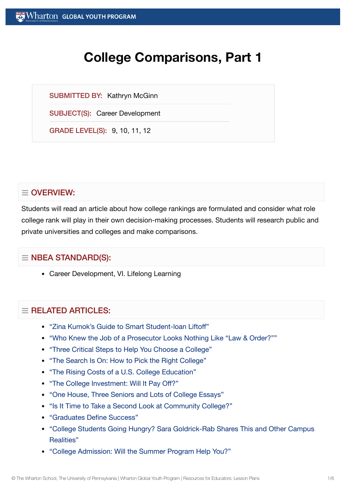# **College Comparisons, Part 1**

SUBMITTED BY: Kathryn McGinn

SUBJECT(S): Career Development

GRADE LEVEL(S): 9, 10, 11, 12

# $\equiv$  OVERVIEW:

Students will read an article about how college rankings are formulated and consider what role college rank will play in their own decision-making processes. Students will research public and private universities and colleges and make comparisons.

# $\equiv$  NBEA STANDARD(S):

Career Development, VI. Lifelong Learning

# $=$  RFI ATED ARTICLES:

- "Zina [Kumok's Guide](https://globalyouth.wharton.upenn.edu/articles/a-guide-to-smart-student-loan-liftoff/) to Smart Student-loan Liftoff"
- "Who Knew the Job of a Prosecutor [Looks Nothing](https://globalyouth.wharton.upenn.edu/articles/who-knew-the-job-of-a-prosecutor-looks-nothing-like-law-order/) Like "Law & Order?""
- "Three Critical Steps to Help You Choose a [College"](https://globalyouth.wharton.upenn.edu/articles/three-critical-steps-choosing-go-college/)
- "The Search Is On: How to Pick the Right [College"](https://globalyouth.wharton.upenn.edu/articles/the-search-is-on-how-to-pick-the-right-college/)
- "The Rising Costs of a U.S. College [Education"](https://globalyouth.wharton.upenn.edu/articles/the-rising-costs-of-a-college-education/)
- "The College [Investment:](https://globalyouth.wharton.upenn.edu/articles/the-college-investment-will-it-pay-off/) Will It Pay Off?"
- "One House, Three [Seniors and](https://globalyouth.wharton.upenn.edu/articles/one-house-three-seniors-lots-college-essays/) Lots of College Essays"
- "Is It Time to Take a Second Look at [Community College?"](https://globalyouth.wharton.upenn.edu/articles/time-take-second-look-community-college/)
- ["Graduates Define](https://globalyouth.wharton.upenn.edu/articles/2018-graduates-define-success/) Success"
- "College Students Going Hungry? Sara Goldrick-Rab [Shares This and](https://globalyouth.wharton.upenn.edu/articles/college-students-going-hungry-sara-goldrick-rab-shares-campus-realities/) Other Campus Realities"
- "College [Admission:](https://globalyouth.wharton.upenn.edu/articles/college-admission-will-summer-program-help-you/) Will the Summer Program Help You?"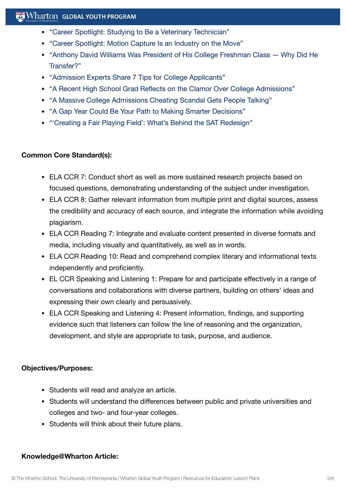# $\mathbb{R}$  Wharton Global Youth Program

- "Career Spotlight: Studying to Be a [Veterinary Technician"](https://globalyouth.wharton.upenn.edu/articles/career-spotlight-studying-to-be-a-veterinary-technician/)
- "Career Spotlight: Motion Capture Is an [Industry on](https://globalyouth.wharton.upenn.edu/articles/careers-motion-capture-industry-on-the-move/) the Move"
- "Anthony David [Williams Was President](https://globalyouth.wharton.upenn.edu/articles/first-generation-college-student-discusses-chose-transfer-new-school/) of His College Freshman Class Why Did He Transfer?"
- "Admission [Experts Share](https://globalyouth.wharton.upenn.edu/articles/admission-experts-share-7-tips-college-applicants/) 7 Tips for College Applicants"
- "A Recent High School Grad Reflects on the Clamor Over College [Admissions"](https://globalyouth.wharton.upenn.edu/articles/a-recent-high-school-grad-reflects-on-the-clamor-over-college-admissions/)
- "A Massive College [Admissions Cheating](https://globalyouth.wharton.upenn.edu/articles/a-massive-college-admissions-cheating-scandal-sparks-emotion-and-debate/) Scandal Gets People Talking"
- "A Gap Year Could Be Your Path to Making Smarter [Decisions"](https://globalyouth.wharton.upenn.edu/articles/gap-year-involves-little-cooking-laundry-whole-lot-self-discovery/)
- "'Creating a Fair Playing Field': [What's Behind](https://globalyouth.wharton.upenn.edu/articles/creating-fair-playing-field-whats-behind-sat-redesign/) the SAT Redesign"

#### **Common Core Standard(s):**

- ELA CCR 7: Conduct short as well as more sustained research projects based on focused questions, demonstrating understanding of the subject under investigation.
- ELA CCR 8: Gather relevant information from multiple print and digital sources, assess the credibility and accuracy of each source, and integrate the information while avoiding plagiarism.
- ELA CCR Reading 7: Integrate and evaluate content presented in diverse formats and media, including visually and quantitatively, as well as in words.
- ELA CCR Reading 10: Read and comprehend complex literary and informational texts independently and proficiently.
- EL CCR Speaking and Listening 1: Prepare for and participate effectively in a range of conversations and collaborations with diverse partners, building on others' ideas and expressing their own clearly and persuasively.
- ELA CCR Speaking and Listening 4: Present information, findings, and supporting evidence such that listeners can follow the line of reasoning and the organization, development, and style are appropriate to task, purpose, and audience.

#### **Objectives/Purposes:**

- Students will read and analyze an article.
- Students will understand the differences between public and private universities and colleges and two- and four-year colleges.
- Students will think about their future plans.

#### **Knowledge@Wharton Article:**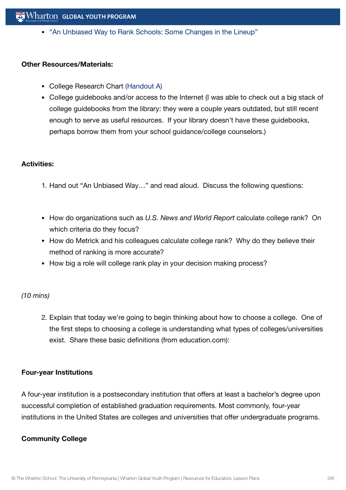• "An Unbiased Way to Rank Schools: Some [Changes in](http://knowledge.wharton.upenn.edu/article.cfm?articleid=1104) the Lineup"

#### **Other Resources/Materials:**

- College Research Chart [\(Handout](https://globalyouth.wharton.upenn.edu/wp-content/uploads/2012/01/Career-Development-29_Lifel.handout.pdf) A)
- College guidebooks and/or access to the Internet (I was able to check out a big stack of college guidebooks from the library: they were a couple years outdated, but still recent enough to serve as useful resources. If your library doesn't have these guidebooks, perhaps borrow them from your school guidance/college counselors.)

#### **Activities:**

- 1. Hand out "An Unbiased Way…" and read aloud. Discuss the following questions:
- How do organizations such as *U.S. News and World Report* calculate college rank? On which criteria do they focus?
- How do Metrick and his colleagues calculate college rank? Why do they believe their method of ranking is more accurate?
- How big a role will college rank play in your decision making process?

#### *(10 mins)*

2. Explain that today we're going to begin thinking about how to choose a college. One of the first steps to choosing a college is understanding what types of colleges/universities exist. Share these basic definitions (from education.com):

#### **Four-year Institutions**

A four-year institution is a postsecondary institution that offers at least a bachelor's degree upon successful completion of established graduation requirements. Most commonly, four-year institutions in the United States are colleges and universities that offer undergraduate programs.

#### **Community College**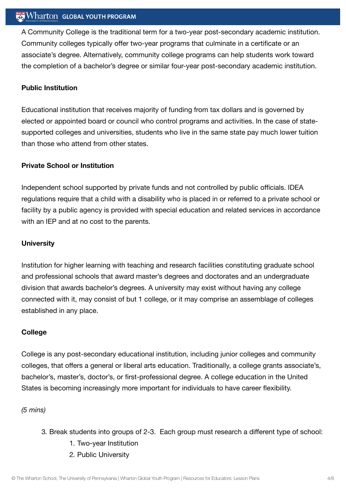# $\mathbb{R}$  Wharton Global Youth Program

A Community College is the traditional term for a two-year post-secondary academic institution. Community colleges typically offer two-year programs that culminate in a certificate or an associate's degree. Alternatively, community college programs can help students work toward the completion of a bachelor's degree or similar four-year post-secondary academic institution.

## **Public Institution**

Educational institution that receives majority of funding from tax dollars and is governed by elected or appointed board or council who control programs and activities. In the case of statesupported colleges and universities, students who live in the same state pay much lower tuition than those who attend from other states.

#### **Private School or Institution**

Independent school supported by private funds and not controlled by public officials. IDEA regulations require that a child with a disability who is placed in or referred to a private school or facility by a public agency is provided with special education and related services in accordance with an IEP and at no cost to the parents.

#### **University**

Institution for higher learning with teaching and research facilities constituting graduate school and professional schools that award master's degrees and doctorates and an undergraduate division that awards bachelor's degrees. A university may exist without having any college connected with it, may consist of but 1 college, or it may comprise an assemblage of colleges established in any place.

#### **College**

College is any post-secondary educational institution, including junior colleges and community colleges, that offers a general or liberal arts education. Traditionally, a college grants associate's, bachelor's, master's, doctor's, or first-professional degree. A college education in the United States is becoming increasingly more important for individuals to have career flexibility.

#### *(5 mins)*

- 3. Break students into groups of 2-3. Each group must research a different type of school:
	- 1. Two-year Institution
	- 2. Public University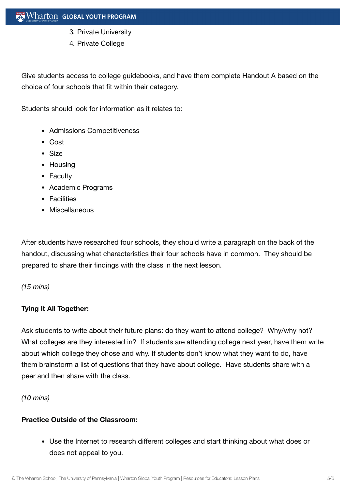- 3. Private University
- 4. Private College

Give students access to college guidebooks, and have them complete Handout A based on the choice of four schools that fit within their category.

Students should look for information as it relates to:

- Admissions Competitiveness
- Cost
- Size
- Housing
- Faculty
- Academic Programs
- Facilities
- Miscellaneous

After students have researched four schools, they should write a paragraph on the back of the handout, discussing what characteristics their four schools have in common. They should be prepared to share their findings with the class in the next lesson.

## *(15 mins)*

# **Tying It All Together:**

Ask students to write about their future plans: do they want to attend college? Why/why not? What colleges are they interested in? If students are attending college next year, have them write about which college they chose and why. If students don't know what they want to do, have them brainstorm a list of questions that they have about college. Have students share with a peer and then share with the class.

*(10 mins)*

## **Practice Outside of the Classroom:**

Use the Internet to research different colleges and start thinking about what does or does not appeal to you.